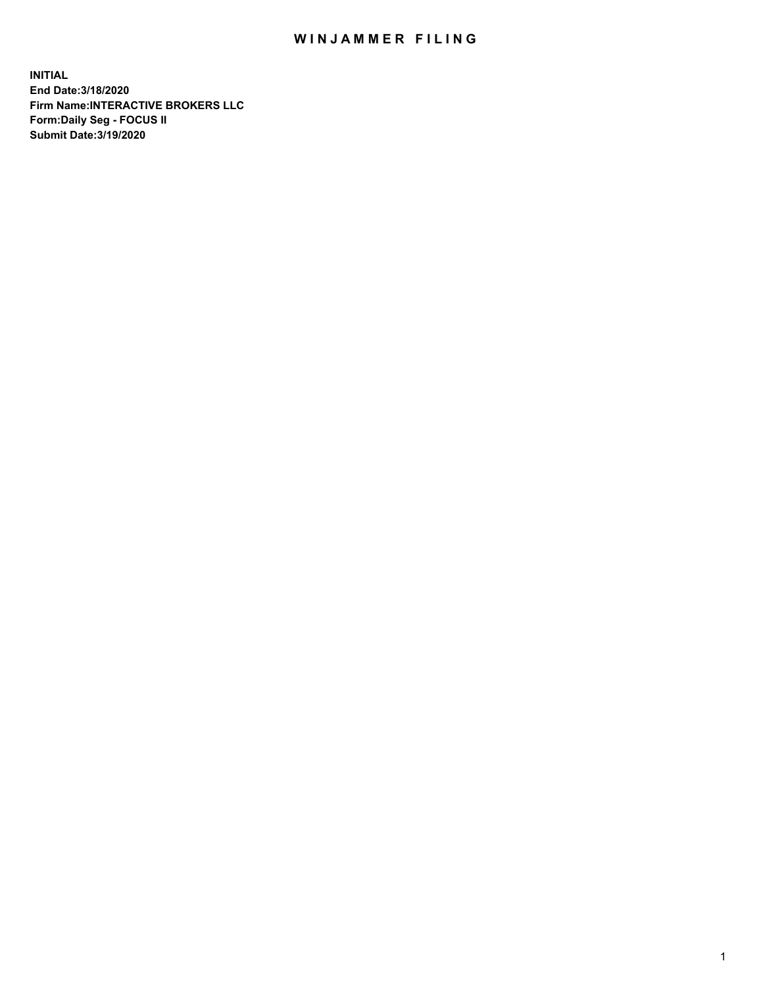## WIN JAMMER FILING

**INITIAL End Date:3/18/2020 Firm Name:INTERACTIVE BROKERS LLC Form:Daily Seg - FOCUS II Submit Date:3/19/2020**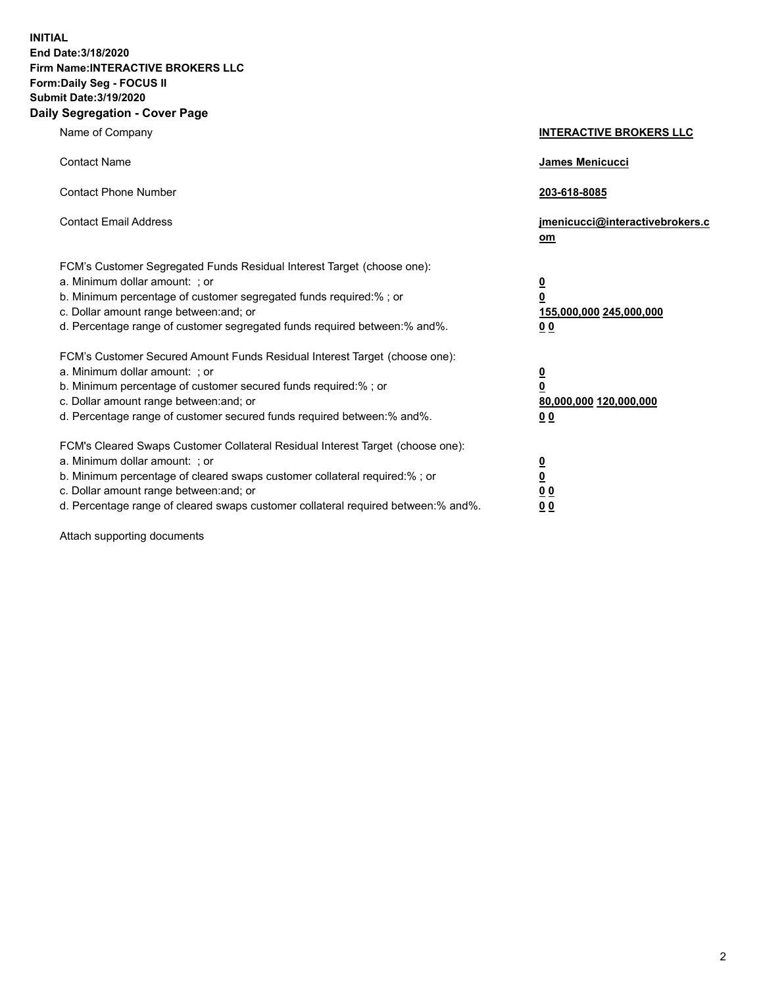**INITIAL End Date:3/18/2020 Firm Name:INTERACTIVE BROKERS LLC Form:Daily Seg - FOCUS II Submit Date:3/19/2020 Daily Segregation - Cover Page**

| Name of Company                                                                                                                                                                                                                                                                                                               | <b>INTERACTIVE BROKERS LLC</b>                                                                  |
|-------------------------------------------------------------------------------------------------------------------------------------------------------------------------------------------------------------------------------------------------------------------------------------------------------------------------------|-------------------------------------------------------------------------------------------------|
| <b>Contact Name</b>                                                                                                                                                                                                                                                                                                           | <b>James Menicucci</b>                                                                          |
| <b>Contact Phone Number</b>                                                                                                                                                                                                                                                                                                   | 203-618-8085                                                                                    |
| <b>Contact Email Address</b>                                                                                                                                                                                                                                                                                                  | jmenicucci@interactivebrokers.c<br>om                                                           |
| FCM's Customer Segregated Funds Residual Interest Target (choose one):<br>a. Minimum dollar amount: ; or<br>b. Minimum percentage of customer segregated funds required:% ; or<br>c. Dollar amount range between: and; or<br>d. Percentage range of customer segregated funds required between:% and%.                        | $\overline{\mathbf{0}}$<br>$\overline{\mathbf{0}}$<br>155,000,000 245,000,000<br>0 <sub>0</sub> |
| FCM's Customer Secured Amount Funds Residual Interest Target (choose one):<br>a. Minimum dollar amount: ; or<br>b. Minimum percentage of customer secured funds required:%; or<br>c. Dollar amount range between: and; or<br>d. Percentage range of customer secured funds required between:% and%.                           | $\overline{\mathbf{0}}$<br>$\pmb{0}$<br>80,000,000 120,000,000<br>0 <sub>0</sub>                |
| FCM's Cleared Swaps Customer Collateral Residual Interest Target (choose one):<br>a. Minimum dollar amount: ; or<br>b. Minimum percentage of cleared swaps customer collateral required:%; or<br>c. Dollar amount range between: and; or<br>d. Percentage range of cleared swaps customer collateral required between:% and%. | $\overline{\mathbf{0}}$<br><u>0</u><br>0 <sub>0</sub><br>00                                     |

Attach supporting documents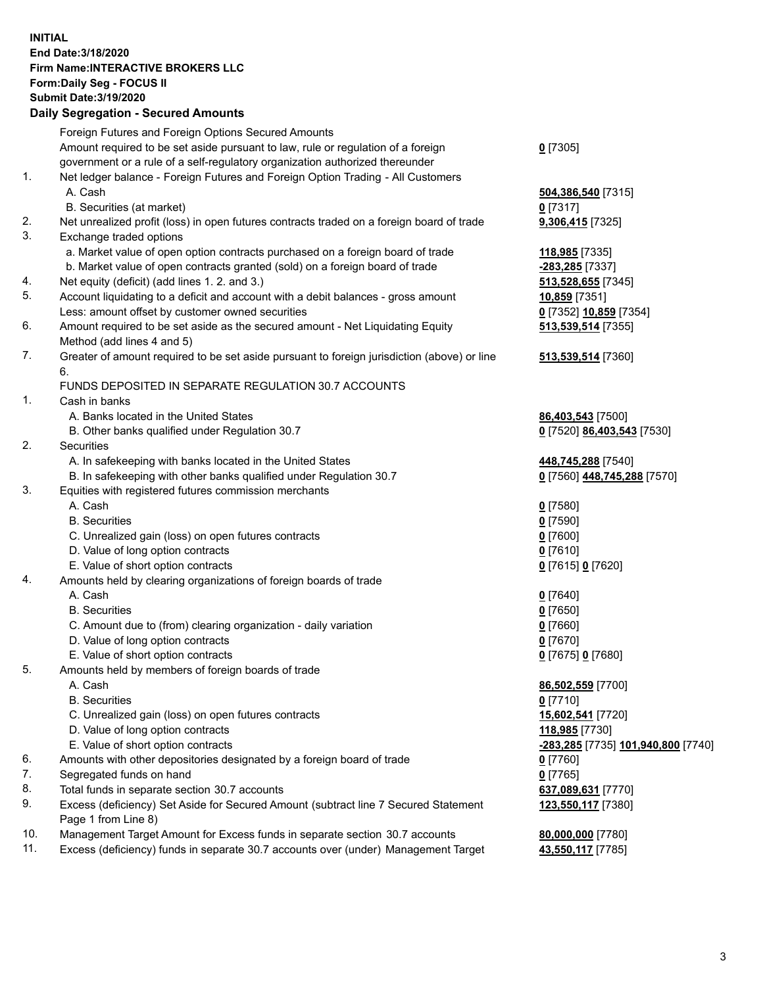**INITIAL End Date:3/18/2020 Firm Name:INTERACTIVE BROKERS LLC Form:Daily Seg - FOCUS II Submit Date:3/19/2020 Daily Segregation - Secured Amounts**

|     | Dany Ocgregation - Oceanea Anioante                                                                        |                                           |
|-----|------------------------------------------------------------------------------------------------------------|-------------------------------------------|
|     | Foreign Futures and Foreign Options Secured Amounts                                                        |                                           |
|     | Amount required to be set aside pursuant to law, rule or regulation of a foreign                           | $0$ [7305]                                |
|     | government or a rule of a self-regulatory organization authorized thereunder                               |                                           |
| 1.  | Net ledger balance - Foreign Futures and Foreign Option Trading - All Customers                            |                                           |
|     | A. Cash                                                                                                    | 504,386,540 [7315]                        |
|     | B. Securities (at market)                                                                                  | $0$ [7317]                                |
| 2.  | Net unrealized profit (loss) in open futures contracts traded on a foreign board of trade                  | 9,306,415 [7325]                          |
| 3.  | Exchange traded options                                                                                    |                                           |
|     | a. Market value of open option contracts purchased on a foreign board of trade                             | 118,985 [7335]                            |
|     | b. Market value of open contracts granted (sold) on a foreign board of trade                               | -283,285 [7337]                           |
| 4.  | Net equity (deficit) (add lines 1. 2. and 3.)                                                              | 513,528,655 [7345]                        |
| 5.  | Account liquidating to a deficit and account with a debit balances - gross amount                          | 10,859 [7351]                             |
|     | Less: amount offset by customer owned securities                                                           | 0 [7352] 10,859 [7354]                    |
| 6.  | Amount required to be set aside as the secured amount - Net Liquidating Equity                             | 513,539,514 [7355]                        |
|     | Method (add lines 4 and 5)                                                                                 |                                           |
| 7.  | Greater of amount required to be set aside pursuant to foreign jurisdiction (above) or line                | 513,539,514 [7360]                        |
|     | 6.                                                                                                         |                                           |
|     | FUNDS DEPOSITED IN SEPARATE REGULATION 30.7 ACCOUNTS                                                       |                                           |
| 1.  | Cash in banks                                                                                              |                                           |
|     | A. Banks located in the United States                                                                      | 86,403,543 [7500]                         |
|     | B. Other banks qualified under Regulation 30.7                                                             | 0 [7520] 86,403,543 [7530]                |
| 2.  | Securities                                                                                                 |                                           |
|     | A. In safekeeping with banks located in the United States                                                  | 448,745,288 [7540]                        |
|     | B. In safekeeping with other banks qualified under Regulation 30.7                                         | 0 [7560] 448,745,288 [7570]               |
| 3.  | Equities with registered futures commission merchants                                                      |                                           |
|     | A. Cash                                                                                                    | $0$ [7580]                                |
|     | <b>B.</b> Securities                                                                                       | $0$ [7590]                                |
|     | C. Unrealized gain (loss) on open futures contracts                                                        | $0$ [7600]                                |
|     | D. Value of long option contracts                                                                          | $0$ [7610]                                |
|     | E. Value of short option contracts                                                                         | 0 [7615] 0 [7620]                         |
| 4.  | Amounts held by clearing organizations of foreign boards of trade                                          |                                           |
|     | A. Cash                                                                                                    | $0$ [7640]                                |
|     | <b>B.</b> Securities                                                                                       | $0$ [7650]                                |
|     | C. Amount due to (from) clearing organization - daily variation                                            | $0$ [7660]                                |
|     | D. Value of long option contracts                                                                          | $0$ [7670]                                |
|     | E. Value of short option contracts                                                                         | 0 [7675] 0 [7680]                         |
| 5.  | Amounts held by members of foreign boards of trade                                                         |                                           |
|     | A. Cash                                                                                                    | 86,502,559 [7700]                         |
|     | <b>B.</b> Securities                                                                                       | $0$ [7710]                                |
|     | C. Unrealized gain (loss) on open futures contracts                                                        | 15,602,541 [7720]                         |
|     | D. Value of long option contracts                                                                          | 118,985 [7730]                            |
|     | E. Value of short option contracts                                                                         | <u>-283,285</u> [7735] 101,940,800 [7740] |
| 6.  | Amounts with other depositories designated by a foreign board of trade                                     | $0$ [7760]                                |
| 7.  | Segregated funds on hand                                                                                   | $0$ [7765]                                |
| 8.  | Total funds in separate section 30.7 accounts                                                              | 637,089,631 [7770]                        |
| 9.  | Excess (deficiency) Set Aside for Secured Amount (subtract line 7 Secured Statement<br>Page 1 from Line 8) | 123,550,117 [7380]                        |
| 10. | Management Target Amount for Excess funds in separate section 30.7 accounts                                | 80,000,000 [7780]                         |
| 11. | Excess (deficiency) funds in separate 30.7 accounts over (under) Management Target                         | 43,550,117 [7785]                         |
|     |                                                                                                            |                                           |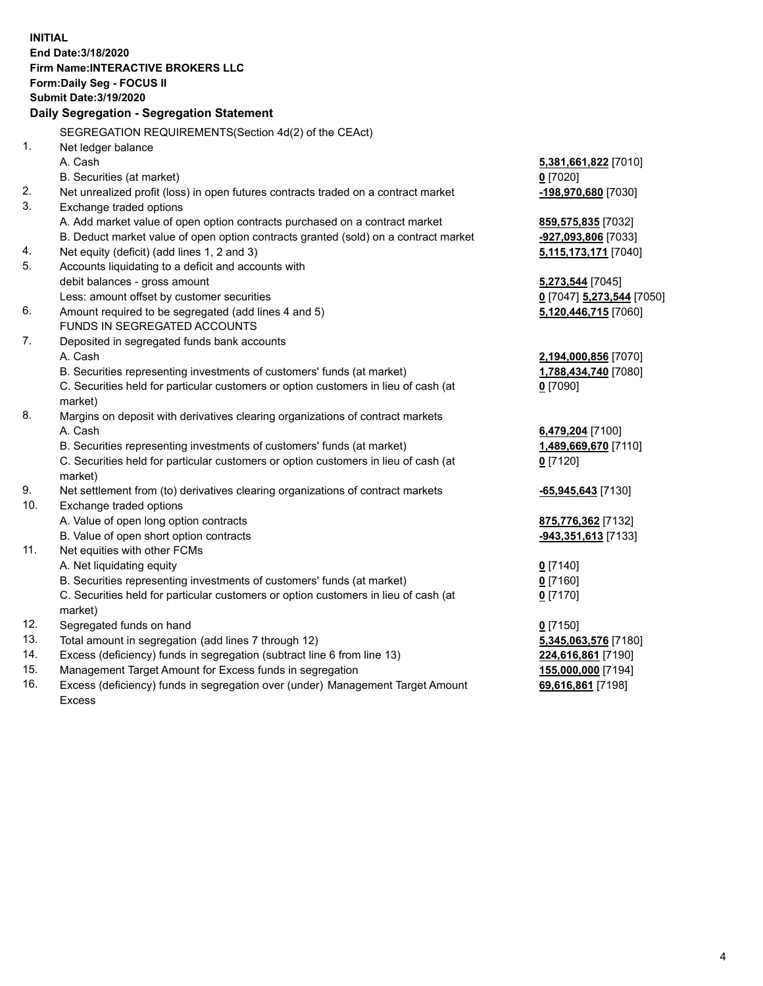**INITIAL End Date:3/18/2020 Firm Name:INTERACTIVE BROKERS LLC Form:Daily Seg - FOCUS II Submit Date:3/19/2020 Daily Segregation - Segregation Statement** SEGREGATION REQUIREMENTS(Section 4d(2) of the CEAct) 1. Net ledger balance A. Cash **5,381,661,822** [7010] B. Securities (at market) **0** [7020] 2. Net unrealized profit (loss) in open futures contracts traded on a contract market **-198,970,680** [7030] 3. Exchange traded options A. Add market value of open option contracts purchased on a contract market **859,575,835** [7032] B. Deduct market value of open option contracts granted (sold) on a contract market **-927,093,806** [7033] 4. Net equity (deficit) (add lines 1, 2 and 3) **5,115,173,171** [7040] 5. Accounts liquidating to a deficit and accounts with debit balances - gross amount **5,273,544** [7045] Less: amount offset by customer securities **0** [7047] **5,273,544** [7050] 6. Amount required to be segregated (add lines 4 and 5) **5,120,446,715** [7060] FUNDS IN SEGREGATED ACCOUNTS 7. Deposited in segregated funds bank accounts A. Cash **2,194,000,856** [7070] B. Securities representing investments of customers' funds (at market) **1,788,434,740** [7080] C. Securities held for particular customers or option customers in lieu of cash (at market) **0** [7090] 8. Margins on deposit with derivatives clearing organizations of contract markets A. Cash **6,479,204** [7100] B. Securities representing investments of customers' funds (at market) **1,489,669,670** [7110] C. Securities held for particular customers or option customers in lieu of cash (at market) **0** [7120] 9. Net settlement from (to) derivatives clearing organizations of contract markets **-65,945,643** [7130] 10. Exchange traded options A. Value of open long option contracts **875,776,362** [7132] B. Value of open short option contracts **-943,351,613** [7133] 11. Net equities with other FCMs A. Net liquidating equity **0** [7140] B. Securities representing investments of customers' funds (at market) **0** [7160] C. Securities held for particular customers or option customers in lieu of cash (at market) **0** [7170] 12. Segregated funds on hand **0** [7150] 13. Total amount in segregation (add lines 7 through 12) **5,345,063,576** [7180] 14. Excess (deficiency) funds in segregation (subtract line 6 from line 13) **224,616,861** [7190] 15. Management Target Amount for Excess funds in segregation **155,000,000** [7194] 16. Excess (deficiency) funds in segregation over (under) Management Target Amount **69,616,861** [7198]

Excess